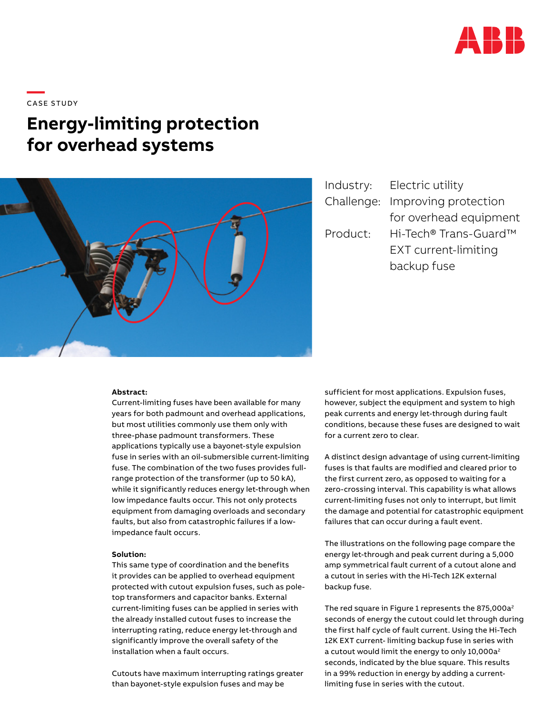

**—**  CASE STUDY

# **Energy-limiting protection for overhead systems**



|            | Industry: Electric utility |
|------------|----------------------------|
| Challenge: | Improving protection       |
|            | for overhead equipment     |
| Product:   | Hi-Tech® Trans-Guard™      |
|            | EXT current-limiting       |
|            | backup fuse                |

#### **Abstract:**

Current-limiting fuses have been available for many years for both padmount and overhead applications, but most utilities commonly use them only with three-phase padmount transformers. These applications typically use a bayonet-style expulsion fuse in series with an oil-submersible current-limiting fuse. The combination of the two fuses provides fullrange protection of the transformer (up to 50 kA), while it significantly reduces energy let-through when low impedance faults occur. This not only protects equipment from damaging overloads and secondary faults, but also from catastrophic failures if a lowimpedance fault occurs.

#### **Solution:**

This same type of coordination and the benefits it provides can be applied to overhead equipment protected with cutout expulsion fuses, such as poletop transformers and capacitor banks. External current-limiting fuses can be applied in series with the already installed cutout fuses to increase the interrupting rating, reduce energy let-through and significantly improve the overall safety of the installation when a fault occurs.

Cutouts have maximum interrupting ratings greater than bayonet-style expulsion fuses and may be

sufficient for most applications. Expulsion fuses, however, subject the equipment and system to high peak currents and energy let-through during fault conditions, because these fuses are designed to wait for a current zero to clear.

A distinct design advantage of using current-limiting fuses is that faults are modified and cleared prior to the first current zero, as opposed to waiting for a zero-crossing interval. This capability is what allows current-limiting fuses not only to interrupt, but limit the damage and potential for catastrophic equipment failures that can occur during a fault event.

The illustrations on the following page compare the energy let-through and peak current during a 5,000 amp symmetrical fault current of a cutout alone and a cutout in series with the Hi-Tech 12K external backup fuse.

The red square in Figure 1 represents the 875,000a<sup>2</sup> seconds of energy the cutout could let through during the first half cycle of fault current. Using the Hi-Tech 12K EXT current- limiting backup fuse in series with a cutout would limit the energy to only 10,000a<sup>2</sup> seconds, indicated by the blue square. This results in a 99% reduction in energy by adding a currentlimiting fuse in series with the cutout.